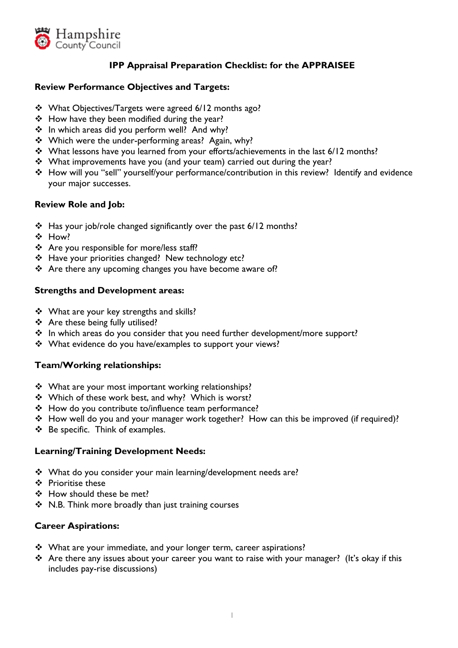

# **IPP Appraisal Preparation Checklist: for the APPRAISEE**

#### **Review Performance Objectives and Targets:**

- \* What Objectives/Targets were agreed 6/12 months ago?
- \* How have they been modified during the year?
- \* In which areas did you perform well? And why?
- \* Which were the under-performing areas? Again, why?
- What lessons have you learned from your efforts/achievements in the last 6/12 months?
- What improvements have you (and your team) carried out during the year?
- How will you "sell" yourself/your performance/contribution in this review? Identify and evidence your major successes.

## **Review Role and Job:**

- \* Has your job/role changed significantly over the past 6/12 months?
- ❖ How?
- \* Are you responsible for more/less staff?
- ❖ Have your priorities changed? New technology etc?
- Are there any upcoming changes you have become aware of?

#### **Strengths and Development areas:**

- ❖ What are your key strengths and skills?
- Are these being fully utilised?
- \* In which areas do you consider that you need further development/more support?
- What evidence do you have/examples to support your views?

#### **Team/Working relationships:**

- ❖ What are your most important working relationships?
- ❖ Which of these work best, and why? Which is worst?
- \* How do you contribute to/influence team performance?
- $\div$  How well do you and your manager work together? How can this be improved (if required)?
- $\div$  Be specific. Think of examples.

#### **Learning/Training Development Needs:**

- What do you consider your main learning/development needs are?
- ❖ Prioritise these
- How should these be met?
- $\div$  N.B. Think more broadly than just training courses

## **Career Aspirations:**

- \* What are your immediate, and your longer term, career aspirations?
- \* Are there any issues about your career you want to raise with your manager? (It's okay if this includes pay-rise discussions)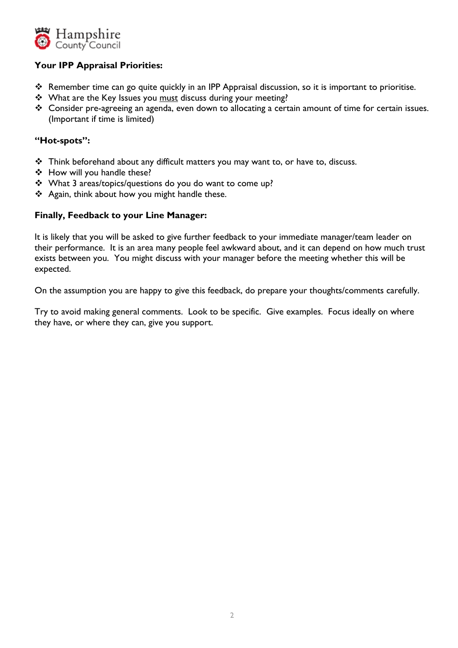

## **Your IPP Appraisal Priorities:**

- Remember time can go quite quickly in an IPP Appraisal discussion, so it is important to prioritise.
- \* What are the Key Issues you must discuss during your meeting?
- \* Consider pre-agreeing an agenda, even down to allocating a certain amount of time for certain issues. (Important if time is limited)

#### **"Hot-spots":**

- \* Think beforehand about any difficult matters you may want to, or have to, discuss.
- How will you handle these?
- What 3 areas/topics/questions do you do want to come up?
- \* Again, think about how you might handle these.

#### **Finally, Feedback to your Line Manager:**

It is likely that you will be asked to give further feedback to your immediate manager/team leader on their performance. It is an area many people feel awkward about, and it can depend on how much trust exists between you. You might discuss with your manager before the meeting whether this will be expected.

On the assumption you are happy to give this feedback, do prepare your thoughts/comments carefully.

Try to avoid making general comments. Look to be specific. Give examples. Focus ideally on where they have, or where they can, give you support.